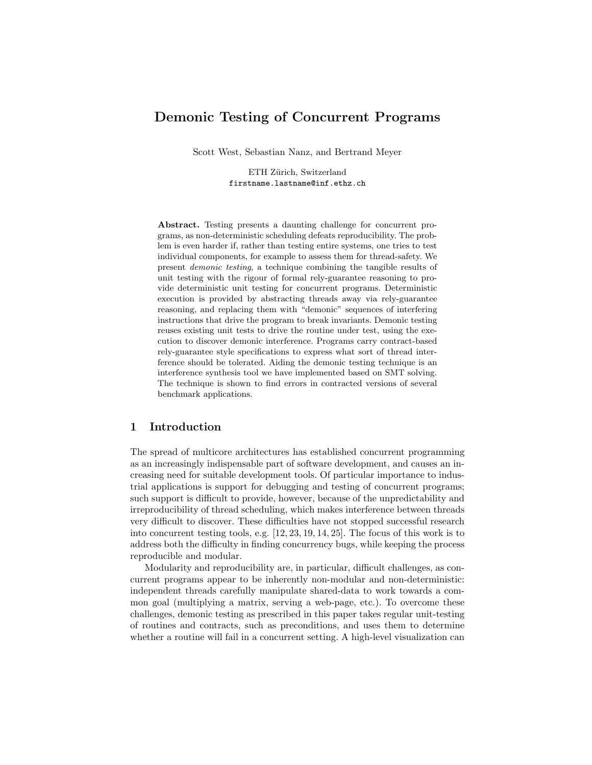# Demonic Testing of Concurrent Programs

Scott West, Sebastian Nanz, and Bertrand Meyer

ETH Zürich, Switzerland firstname.lastname@inf.ethz.ch

Abstract. Testing presents a daunting challenge for concurrent programs, as non-deterministic scheduling defeats reproducibility. The problem is even harder if, rather than testing entire systems, one tries to test individual components, for example to assess them for thread-safety. We present demonic testing, a technique combining the tangible results of unit testing with the rigour of formal rely-guarantee reasoning to provide deterministic unit testing for concurrent programs. Deterministic execution is provided by abstracting threads away via rely-guarantee reasoning, and replacing them with "demonic" sequences of interfering instructions that drive the program to break invariants. Demonic testing reuses existing unit tests to drive the routine under test, using the execution to discover demonic interference. Programs carry contract-based rely-guarantee style specifications to express what sort of thread interference should be tolerated. Aiding the demonic testing technique is an interference synthesis tool we have implemented based on SMT solving. The technique is shown to find errors in contracted versions of several benchmark applications.

## 1 Introduction

The spread of multicore architectures has established concurrent programming as an increasingly indispensable part of software development, and causes an increasing need for suitable development tools. Of particular importance to industrial applications is support for debugging and testing of concurrent programs; such support is difficult to provide, however, because of the unpredictability and irreproducibility of thread scheduling, which makes interference between threads very difficult to discover. These difficulties have not stopped successful research into concurrent testing tools, e.g. [12, 23, 19, 14, 25]. The focus of this work is to address both the difficulty in finding concurrency bugs, while keeping the process reproducible and modular.

Modularity and reproducibility are, in particular, difficult challenges, as concurrent programs appear to be inherently non-modular and non-deterministic: independent threads carefully manipulate shared-data to work towards a common goal (multiplying a matrix, serving a web-page, etc.). To overcome these challenges, demonic testing as prescribed in this paper takes regular unit-testing of routines and contracts, such as preconditions, and uses them to determine whether a routine will fail in a concurrent setting. A high-level visualization can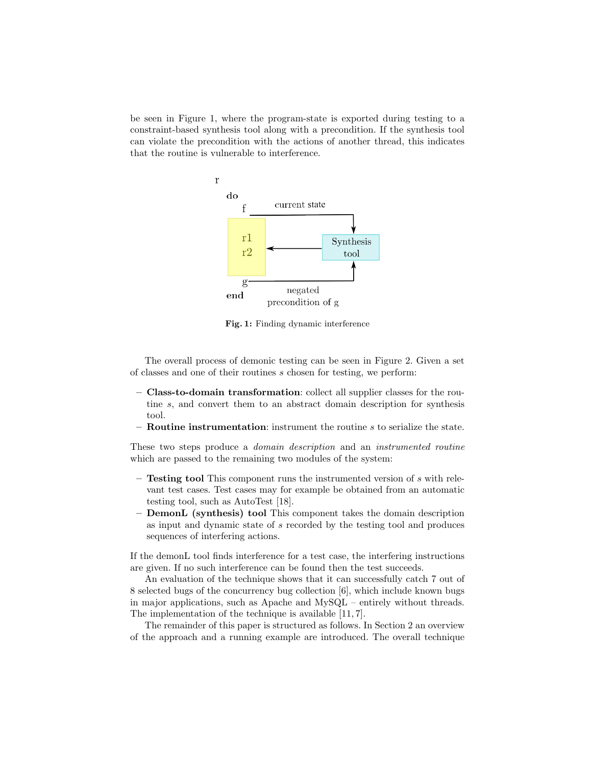be seen in Figure 1, where the program-state is exported during testing to a constraint-based synthesis tool along with a precondition. If the synthesis tool can violate the precondition with the actions of another thread, this indicates that the routine is vulnerable to interference.



Fig. 1: Finding dynamic interference

The overall process of demonic testing can be seen in Figure 2. Given a set of classes and one of their routines s chosen for testing, we perform:

- Class-to-domain transformation: collect all supplier classes for the routine s, and convert them to an abstract domain description for synthesis tool.
- Routine instrumentation: instrument the routine s to serialize the state.

These two steps produce a domain description and an instrumented routine which are passed to the remaining two modules of the system:

- Testing tool This component runs the instrumented version of s with relevant test cases. Test cases may for example be obtained from an automatic testing tool, such as AutoTest [18].
- DemonL (synthesis) tool This component takes the domain description as input and dynamic state of s recorded by the testing tool and produces sequences of interfering actions.

If the demonL tool finds interference for a test case, the interfering instructions are given. If no such interference can be found then the test succeeds.

An evaluation of the technique shows that it can successfully catch 7 out of 8 selected bugs of the concurrency bug collection [6], which include known bugs in major applications, such as Apache and MySQL – entirely without threads. The implementation of the technique is available [11, 7].

The remainder of this paper is structured as follows. In Section 2 an overview of the approach and a running example are introduced. The overall technique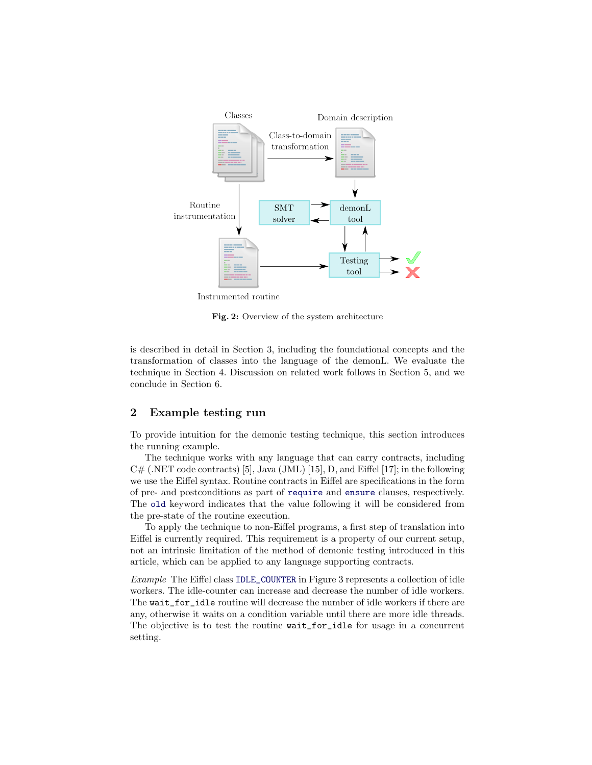

Instrumented routine

Fig. 2: Overview of the system architecture

is described in detail in Section 3, including the foundational concepts and the transformation of classes into the language of the demonL. We evaluate the technique in Section 4. Discussion on related work follows in Section 5, and we conclude in Section 6.

# 2 Example testing run

To provide intuition for the demonic testing technique, this section introduces the running example.

The technique works with any language that can carry contracts, including  $C#$  (.NET code contracts) [5], Java (JML) [15], D, and Eiffel [17]; in the following we use the Eiffel syntax. Routine contracts in Eiffel are specifications in the form of pre- and postconditions as part of require and ensure clauses, respectively. The old keyword indicates that the value following it will be considered from the pre-state of the routine execution.

To apply the technique to non-Eiffel programs, a first step of translation into Eiffel is currently required. This requirement is a property of our current setup, not an intrinsic limitation of the method of demonic testing introduced in this article, which can be applied to any language supporting contracts.

Example The Eiffel class IDLE\_COUNTER in Figure 3 represents a collection of idle workers. The idle-counter can increase and decrease the number of idle workers. The wait\_for\_idle routine will decrease the number of idle workers if there are any, otherwise it waits on a condition variable until there are more idle threads. The objective is to test the routine wait\_for\_idle for usage in a concurrent setting.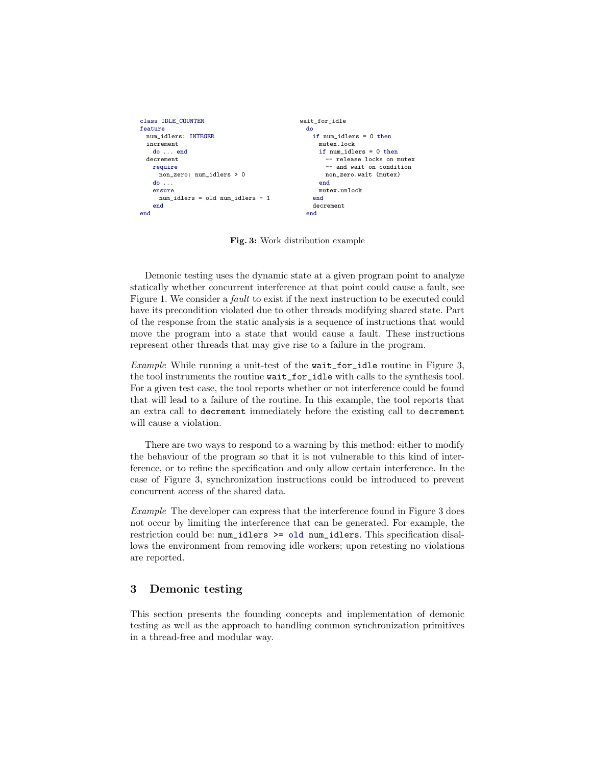```
class IDLE_COUNTER
feature
 num_idlers: INTEGER
 increment
   do . . . end
 decrement
   require
     non_zero: num_idlers > 0
   do . . .
   ensure
     num_idlers = old num_idlers - 1
   end
end
                                              wait for idle
                                                do
                                                  if num idlers = 0 then
                                                    mutex.lock
                                                    if num idlers = 0 then
                                                      -- release locks on mutex
                                                      -- and wait on condition
                                                     non_zero.wait (mutex)
                                                    end
                                                    mutex.unlock
                                                  end
                                                  decrement
                                                end
```
Fig. 3: Work distribution example

Demonic testing uses the dynamic state at a given program point to analyze statically whether concurrent interference at that point could cause a fault, see Figure 1. We consider a fault to exist if the next instruction to be executed could have its precondition violated due to other threads modifying shared state. Part of the response from the static analysis is a sequence of instructions that would move the program into a state that would cause a fault. These instructions represent other threads that may give rise to a failure in the program.

Example While running a unit-test of the wait\_for\_idle routine in Figure 3, the tool instruments the routine wait\_for\_idle with calls to the synthesis tool. For a given test case, the tool reports whether or not interference could be found that will lead to a failure of the routine. In this example, the tool reports that an extra call to decrement immediately before the existing call to decrement will cause a violation.

There are two ways to respond to a warning by this method: either to modify the behaviour of the program so that it is not vulnerable to this kind of interference, or to refine the specification and only allow certain interference. In the case of Figure 3, synchronization instructions could be introduced to prevent concurrent access of the shared data.

Example The developer can express that the interference found in Figure 3 does not occur by limiting the interference that can be generated. For example, the restriction could be: num\_idlers >= old num\_idlers. This specification disallows the environment from removing idle workers; upon retesting no violations are reported.

### 3 Demonic testing

This section presents the founding concepts and implementation of demonic testing as well as the approach to handling common synchronization primitives in a thread-free and modular way.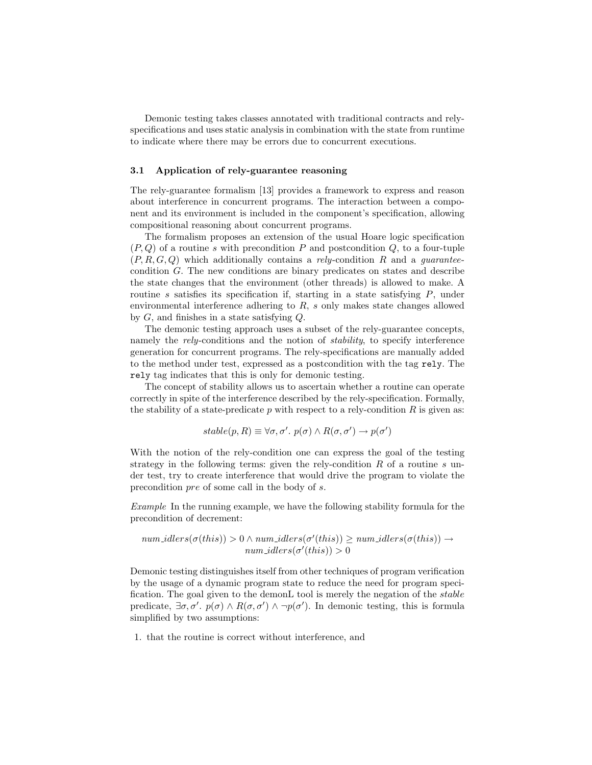Demonic testing takes classes annotated with traditional contracts and relyspecifications and uses static analysis in combination with the state from runtime to indicate where there may be errors due to concurrent executions.

### 3.1 Application of rely-guarantee reasoning

The rely-guarantee formalism [13] provides a framework to express and reason about interference in concurrent programs. The interaction between a component and its environment is included in the component's specification, allowing compositional reasoning about concurrent programs.

The formalism proposes an extension of the usual Hoare logic specification  $(P,Q)$  of a routine s with precondition P and postcondition Q, to a four-tuple  $(P, R, G, Q)$  which additionally contains a rely-condition R and a *quarantee*condition G. The new conditions are binary predicates on states and describe the state changes that the environment (other threads) is allowed to make. A routine s satisfies its specification if, starting in a state satisfying  $P$ , under environmental interference adhering to  $R$ , s only makes state changes allowed by  $G$ , and finishes in a state satisfying  $Q$ .

The demonic testing approach uses a subset of the rely-guarantee concepts, namely the *rely*-conditions and the notion of *stability*, to specify interference generation for concurrent programs. The rely-specifications are manually added to the method under test, expressed as a postcondition with the tag rely. The rely tag indicates that this is only for demonic testing.

The concept of stability allows us to ascertain whether a routine can operate correctly in spite of the interference described by the rely-specification. Formally, the stability of a state-predicate  $p$  with respect to a rely-condition  $R$  is given as:

$$
stable(p, R) \equiv \forall \sigma, \sigma'. p(\sigma) \land R(\sigma, \sigma') \rightarrow p(\sigma')
$$

With the notion of the rely-condition one can express the goal of the testing strategy in the following terms: given the rely-condition  $R$  of a routine  $s$  under test, try to create interference that would drive the program to violate the precondition pre of some call in the body of s.

Example In the running example, we have the following stability formula for the precondition of decrement:

$$
num\_idlers(\sigma(this)) > 0 \land num\_idlers(\sigma'(this)) \ge num\_idlers(\sigma(this)) \rightarrow num\_idlers(\sigma'(this)) > 0
$$

Demonic testing distinguishes itself from other techniques of program verification by the usage of a dynamic program state to reduce the need for program specification. The goal given to the demonL tool is merely the negation of the stable predicate,  $\exists \sigma, \sigma'. p(\sigma) \wedge R(\sigma, \sigma') \wedge \neg p(\sigma')$ . In demonic testing, this is formula simplified by two assumptions:

1. that the routine is correct without interference, and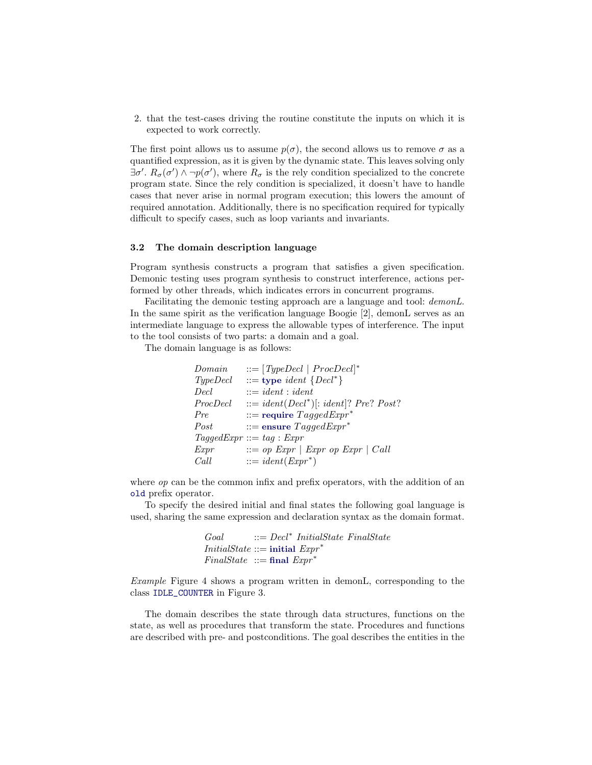2. that the test-cases driving the routine constitute the inputs on which it is expected to work correctly.

The first point allows us to assume  $p(\sigma)$ , the second allows us to remove  $\sigma$  as a quantified expression, as it is given by the dynamic state. This leaves solving only  $\exists \sigma'. R_{\sigma}(\sigma') \wedge \neg p(\sigma')$ , where  $R_{\sigma}$  is the rely condition specialized to the concrete program state. Since the rely condition is specialized, it doesn't have to handle cases that never arise in normal program execution; this lowers the amount of required annotation. Additionally, there is no specification required for typically difficult to specify cases, such as loop variants and invariants.

#### 3.2 The domain description language

Program synthesis constructs a program that satisfies a given specification. Demonic testing uses program synthesis to construct interference, actions performed by other threads, which indicates errors in concurrent programs.

Facilitating the demonic testing approach are a language and tool: demonL. In the same spirit as the verification language Boogie [2], demonL serves as an intermediate language to express the allowable types of interference. The input to the tool consists of two parts: a domain and a goal.

The domain language is as follows:

| Domain    | $ ::= [TypeDecl   ProcDecl]^*$                               |
|-----------|--------------------------------------------------------------|
| Type Decl | $ ::=$ type ident {Decl <sup>*</sup> }                       |
| Decl      | $ ::= ident : ident$                                         |
| ProcDecl  | $ ::= ident(Decl^*)[:ident]$ ? Pre? Post?                    |
| Pre       | $ ::= \text{require} \text{Tagged} \text{Expr}^*$            |
| Post      | $ ::=$ ensure $TaggedExpr^*$                                 |
|           | $TaggedExpr ::= tag : Expr$                                  |
| Expr      | $ ::= op \; Error \mid \; Error \; op \; Error \;   \; Call$ |
| Call      | $ ::= ident(Expr^*)$                                         |

where *op* can be the common infix and prefix operators, with the addition of an old prefix operator.

To specify the desired initial and final states the following goal language is used, sharing the same expression and declaration syntax as the domain format.

> $Goal \qquad ::= Decl^* \text{ InitialState } FinalState$  $InitialState ::=$  initial  $Expr^*$  $FinalState ::= \textbf{final} \; Expr^*$

Example Figure 4 shows a program written in demonL, corresponding to the class IDLE\_COUNTER in Figure 3.

The domain describes the state through data structures, functions on the state, as well as procedures that transform the state. Procedures and functions are described with pre- and postconditions. The goal describes the entities in the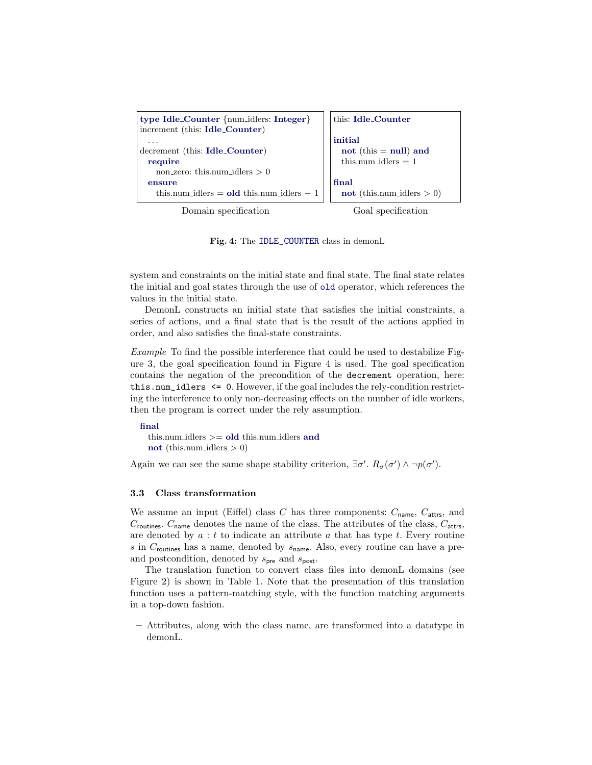| type $Idle$ Counter ${num_idlers: Integer}$  | this: Idle_Counter           |  |  |
|----------------------------------------------|------------------------------|--|--|
| increment (this: Idle_Counter)               |                              |  |  |
| .                                            | initial                      |  |  |
| decrement (this: <b>Idle_Counter</b> )       | not (this $=$ null) and      |  |  |
| require                                      | this.num_idlers $= 1$        |  |  |
| non_zero: this.num_idlers $> 0$              |                              |  |  |
| ensure                                       | final                        |  |  |
| this.num_idlers $=$ old this.num_idlers $-1$ | not (this.num_idlers $> 0$ ) |  |  |
| Domain specification                         | Goal specification           |  |  |

Fig. 4: The IDLE\_COUNTER class in demonL

system and constraints on the initial state and final state. The final state relates the initial and goal states through the use of old operator, which references the values in the initial state.

DemonL constructs an initial state that satisfies the initial constraints, a series of actions, and a final state that is the result of the actions applied in order, and also satisfies the final-state constraints.

Example To find the possible interference that could be used to destabilize Figure 3, the goal specification found in Figure 4 is used. The goal specification contains the negation of the precondition of the decrement operation, here: this.num\_idlers <= 0. However, if the goal includes the rely-condition restricting the interference to only non-decreasing effects on the number of idle workers, then the program is correct under the rely assumption.

### final

this.num idlers >= old this.num idlers and not (this.num\_idlers  $> 0$ )

Again we can see the same shape stability criterion,  $\exists \sigma'. R_{\sigma}(\sigma') \wedge \neg p(\sigma')$ .

### 3.3 Class transformation

We assume an input (Eiffel) class C has three components:  $C_{\text{name}}$ ,  $C_{\text{attrs}}$ , and  $C_{\text{routines}}$ .  $C_{\text{name}}$  denotes the name of the class. The attributes of the class,  $C_{\text{attrs}}$ , are denoted by  $a : t$  to indicate an attribute  $a$  that has type  $t$ . Every routine s in  $C_{\text{routines}}$  has a name, denoted by  $s_{\text{name}}$ . Also, every routine can have a preand postcondition, denoted by  $s_{pre}$  and  $s_{post}$ .

The translation function to convert class files into demonL domains (see Figure 2) is shown in Table 1. Note that the presentation of this translation function uses a pattern-matching style, with the function matching arguments in a top-down fashion.

– Attributes, along with the class name, are transformed into a datatype in demonL.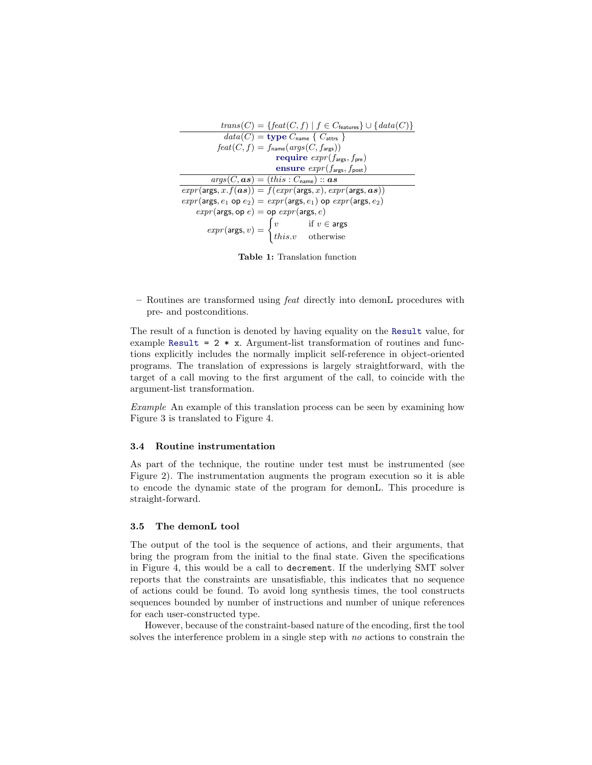| $trans(C) = \{feat(C, f)   f \in C_{\text{features}}\} \cup \{data(C)\}\$                                                              |  |  |  |  |  |  |
|----------------------------------------------------------------------------------------------------------------------------------------|--|--|--|--|--|--|
| $\overline{data(C)} = \textbf{type } C_{\textsf{name}} \{ C_{\textsf{attrs}} \}$                                                       |  |  |  |  |  |  |
| $feat(C, f) = f_{name}(args(C, f_{args}))$                                                                                             |  |  |  |  |  |  |
| require $expr(f_{args}, f_{pre})$                                                                                                      |  |  |  |  |  |  |
| ensure $expr(f_{args}, f_{post})$                                                                                                      |  |  |  |  |  |  |
| $args(C, as) = (this : C_{name}) :: as$                                                                                                |  |  |  |  |  |  |
| $expr(args, x.f(as)) = f(exp(args, x), expr(args, as))$                                                                                |  |  |  |  |  |  |
| $expr(args, e_1 \text{ op } e_2) = expr(args, e_1) \text{ op } expr(args, e_2)$                                                        |  |  |  |  |  |  |
| $expr(args, op e) = op expr(args, e)$                                                                                                  |  |  |  |  |  |  |
|                                                                                                                                        |  |  |  |  |  |  |
| $\mathit{expr}(\mathsf{args}, v) = \begin{cases} v & \text{if } v \in \mathsf{args} \\ \mathit{this}.v & \text{otherwise} \end{cases}$ |  |  |  |  |  |  |

Table 1: Translation function

– Routines are transformed using feat directly into demonL procedures with pre- and postconditions.

The result of a function is denoted by having equality on the Result value, for example Result =  $2 * x$ . Argument-list transformation of routines and functions explicitly includes the normally implicit self-reference in object-oriented programs. The translation of expressions is largely straightforward, with the target of a call moving to the first argument of the call, to coincide with the argument-list transformation.

Example An example of this translation process can be seen by examining how Figure 3 is translated to Figure 4.

#### 3.4 Routine instrumentation

As part of the technique, the routine under test must be instrumented (see Figure 2). The instrumentation augments the program execution so it is able to encode the dynamic state of the program for demonL. This procedure is straight-forward.

### 3.5 The demonL tool

The output of the tool is the sequence of actions, and their arguments, that bring the program from the initial to the final state. Given the specifications in Figure 4, this would be a call to decrement. If the underlying SMT solver reports that the constraints are unsatisfiable, this indicates that no sequence of actions could be found. To avoid long synthesis times, the tool constructs sequences bounded by number of instructions and number of unique references for each user-constructed type.

However, because of the constraint-based nature of the encoding, first the tool solves the interference problem in a single step with no actions to constrain the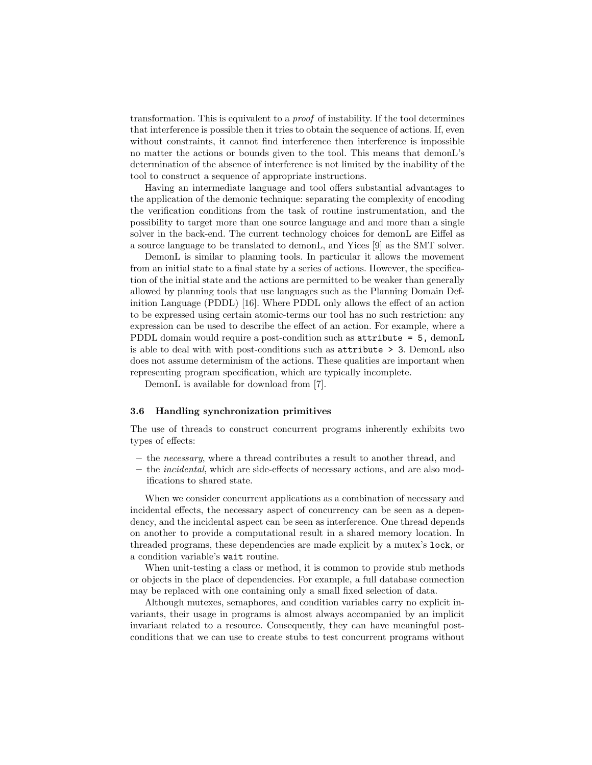transformation. This is equivalent to a proof of instability. If the tool determines that interference is possible then it tries to obtain the sequence of actions. If, even without constraints, it cannot find interference then interference is impossible no matter the actions or bounds given to the tool. This means that demonL's determination of the absence of interference is not limited by the inability of the tool to construct a sequence of appropriate instructions.

Having an intermediate language and tool offers substantial advantages to the application of the demonic technique: separating the complexity of encoding the verification conditions from the task of routine instrumentation, and the possibility to target more than one source language and and more than a single solver in the back-end. The current technology choices for demonL are Eiffel as a source language to be translated to demonL, and Yices [9] as the SMT solver.

DemonL is similar to planning tools. In particular it allows the movement from an initial state to a final state by a series of actions. However, the specification of the initial state and the actions are permitted to be weaker than generally allowed by planning tools that use languages such as the Planning Domain Definition Language (PDDL) [16]. Where PDDL only allows the effect of an action to be expressed using certain atomic-terms our tool has no such restriction: any expression can be used to describe the effect of an action. For example, where a PDDL domain would require a post-condition such as attribute = 5, demonL is able to deal with with post-conditions such as attribute > 3. DemonL also does not assume determinism of the actions. These qualities are important when representing program specification, which are typically incomplete.

DemonL is available for download from [7].

#### 3.6 Handling synchronization primitives

The use of threads to construct concurrent programs inherently exhibits two types of effects:

- the necessary, where a thread contributes a result to another thread, and
- the incidental, which are side-effects of necessary actions, and are also modifications to shared state.

When we consider concurrent applications as a combination of necessary and incidental effects, the necessary aspect of concurrency can be seen as a dependency, and the incidental aspect can be seen as interference. One thread depends on another to provide a computational result in a shared memory location. In threaded programs, these dependencies are made explicit by a mutex's lock, or a condition variable's wait routine.

When unit-testing a class or method, it is common to provide stub methods or objects in the place of dependencies. For example, a full database connection may be replaced with one containing only a small fixed selection of data.

Although mutexes, semaphores, and condition variables carry no explicit invariants, their usage in programs is almost always accompanied by an implicit invariant related to a resource. Consequently, they can have meaningful postconditions that we can use to create stubs to test concurrent programs without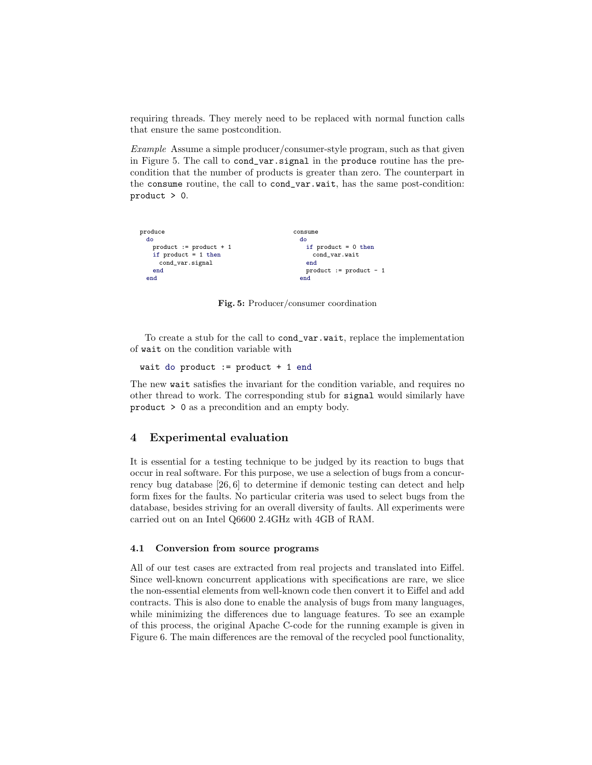requiring threads. They merely need to be replaced with normal function calls that ensure the same postcondition.

Example Assume a simple producer/consumer-style program, such as that given in Figure 5. The call to cond\_var.signal in the produce routine has the precondition that the number of products is greater than zero. The counterpart in the consume routine, the call to cond\_var.wait, has the same post-condition: product > 0.

```
produce
 do
   product := product + 1
   if product = 1 then
     cond_var.signal
   end
  end
                                            consume
                                             do
                                              if product = 0 then
                                                cond_var.wait
                                               end
                                               product := product - 1
                                              end
```
Fig. 5: Producer/consumer coordination

To create a stub for the call to cond\_var.wait, replace the implementation of wait on the condition variable with

wait do product  $:=$  product + 1 end

The new wait satisfies the invariant for the condition variable, and requires no other thread to work. The corresponding stub for signal would similarly have product > 0 as a precondition and an empty body.

### 4 Experimental evaluation

It is essential for a testing technique to be judged by its reaction to bugs that occur in real software. For this purpose, we use a selection of bugs from a concurrency bug database [26, 6] to determine if demonic testing can detect and help form fixes for the faults. No particular criteria was used to select bugs from the database, besides striving for an overall diversity of faults. All experiments were carried out on an Intel Q6600 2.4GHz with 4GB of RAM.

#### 4.1 Conversion from source programs

All of our test cases are extracted from real projects and translated into Eiffel. Since well-known concurrent applications with specifications are rare, we slice the non-essential elements from well-known code then convert it to Eiffel and add contracts. This is also done to enable the analysis of bugs from many languages, while minimizing the differences due to language features. To see an example of this process, the original Apache C-code for the running example is given in Figure 6. The main differences are the removal of the recycled pool functionality,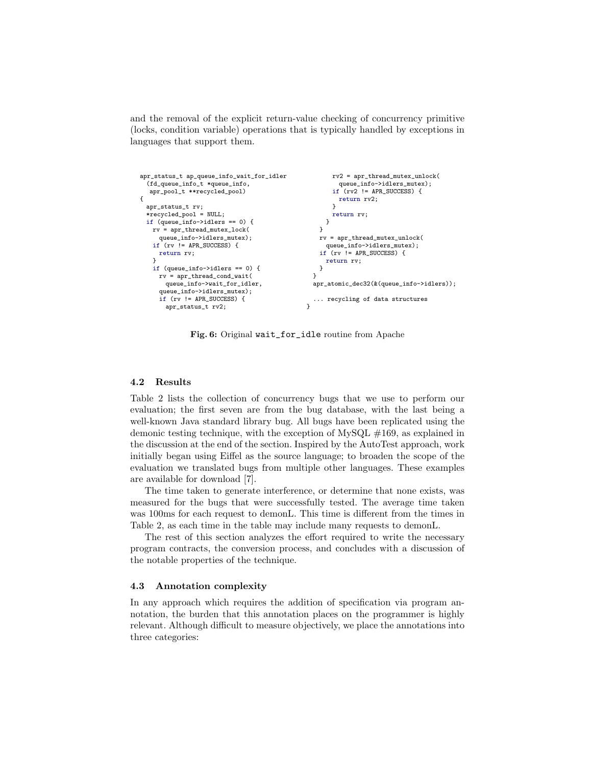and the removal of the explicit return-value checking of concurrency primitive (locks, condition variable) operations that is typically handled by exceptions in languages that support them.



Fig. 6: Original wait\_for\_idle routine from Apache

#### 4.2 Results

Table 2 lists the collection of concurrency bugs that we use to perform our evaluation; the first seven are from the bug database, with the last being a well-known Java standard library bug. All bugs have been replicated using the demonic testing technique, with the exception of MySQL #169, as explained in the discussion at the end of the section. Inspired by the AutoTest approach, work initially began using Eiffel as the source language; to broaden the scope of the evaluation we translated bugs from multiple other languages. These examples are available for download [7].

The time taken to generate interference, or determine that none exists, was measured for the bugs that were successfully tested. The average time taken was 100ms for each request to demonL. This time is different from the times in Table 2, as each time in the table may include many requests to demonL.

The rest of this section analyzes the effort required to write the necessary program contracts, the conversion process, and concludes with a discussion of the notable properties of the technique.

#### 4.3 Annotation complexity

In any approach which requires the addition of specification via program annotation, the burden that this annotation places on the programmer is highly relevant. Although difficult to measure objectively, we place the annotations into three categories: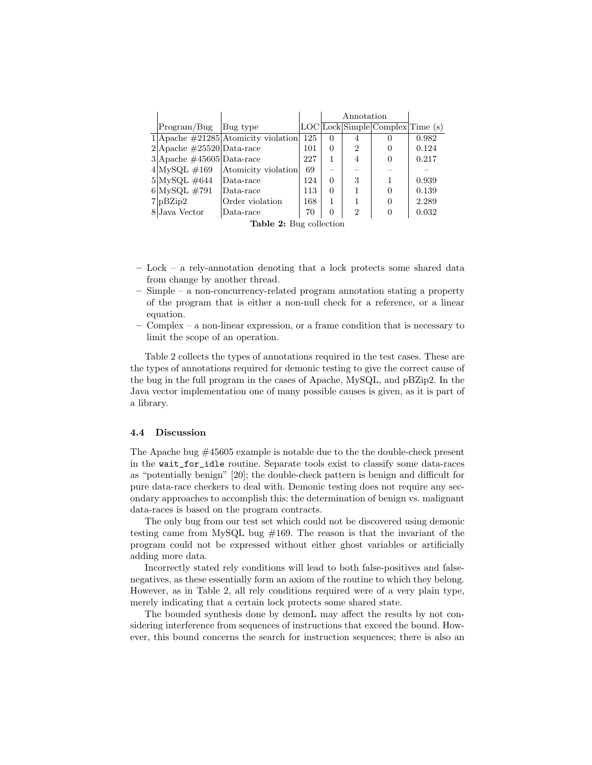|                                |                                       |     | Annotation |                |                                  |       |
|--------------------------------|---------------------------------------|-----|------------|----------------|----------------------------------|-------|
| Program/Bug                    | Bug type                              |     |            |                | LOC Lock Simple Complex Time (s) |       |
|                                | $1$ Apache #21285 Atomicity violation | 125 | 0          | 4              |                                  | 0.982 |
| $2$ Apache $\#25520$ Data-race |                                       | 101 | 0          | 2              |                                  | 0.124 |
| $3$ Apache #45605 Data-race    |                                       | 227 | 1          | $\overline{4}$ |                                  | 0.217 |
| $4$ MySQL $\#169$              | Atomicity violation                   | 69  |            |                |                                  |       |
| $5$ MySQL $\#644$              | Data-race                             | 124 | 0          | 3              |                                  | 0.939 |
| $6$ MySQL #791                 | Data-race                             | 113 | $\Omega$   |                |                                  | 0.139 |
| $7 pB\mathrm{Zip2}$            | Order violation                       | 168 | 1          |                |                                  | 2.289 |
| 8 Java Vector                  | Data-race                             | 70  | 0          | 2              |                                  | 0.032 |

|  |  | <b>Table 2:</b> Bug collection |
|--|--|--------------------------------|
|--|--|--------------------------------|

- Lock a rely-annotation denoting that a lock protects some shared data from change by another thread.
- Simple a non-concurrency-related program annotation stating a property of the program that is either a non-null check for a reference, or a linear equation.
- Complex a non-linear expression, or a frame condition that is necessary to limit the scope of an operation.

Table 2 collects the types of annotations required in the test cases. These are the types of annotations required for demonic testing to give the correct cause of the bug in the full program in the cases of Apache, MySQL, and pBZip2. In the Java vector implementation one of many possible causes is given, as it is part of a library.

#### 4.4 Discussion

The Apache bug #45605 example is notable due to the the double-check present in the wait\_for\_idle routine. Separate tools exist to classify some data-races as "potentially benign" [20]; the double-check pattern is benign and difficult for pure data-race checkers to deal with. Demonic testing does not require any secondary approaches to accomplish this: the determination of benign vs. malignant data-races is based on the program contracts.

The only bug from our test set which could not be discovered using demonic testing came from MySQL bug #169. The reason is that the invariant of the program could not be expressed without either ghost variables or artificially adding more data.

Incorrectly stated rely conditions will lead to both false-positives and falsenegatives, as these essentially form an axiom of the routine to which they belong. However, as in Table 2, all rely conditions required were of a very plain type, merely indicating that a certain lock protects some shared state.

The bounded synthesis done by demonL may affect the results by not considering interference from sequences of instructions that exceed the bound. However, this bound concerns the search for instruction sequences; there is also an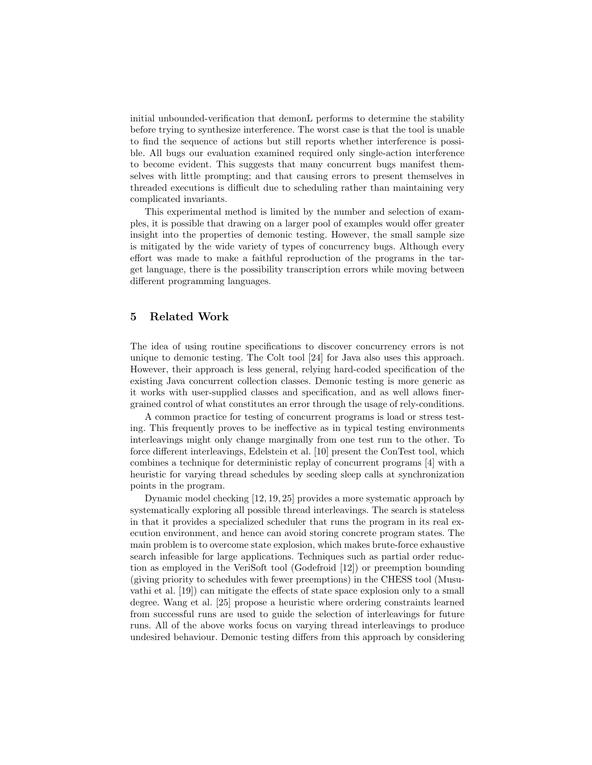initial unbounded-verification that demonL performs to determine the stability before trying to synthesize interference. The worst case is that the tool is unable to find the sequence of actions but still reports whether interference is possible. All bugs our evaluation examined required only single-action interference to become evident. This suggests that many concurrent bugs manifest themselves with little prompting; and that causing errors to present themselves in threaded executions is difficult due to scheduling rather than maintaining very complicated invariants.

This experimental method is limited by the number and selection of examples, it is possible that drawing on a larger pool of examples would offer greater insight into the properties of demonic testing. However, the small sample size is mitigated by the wide variety of types of concurrency bugs. Although every effort was made to make a faithful reproduction of the programs in the target language, there is the possibility transcription errors while moving between different programming languages.

### 5 Related Work

The idea of using routine specifications to discover concurrency errors is not unique to demonic testing. The Colt tool [24] for Java also uses this approach. However, their approach is less general, relying hard-coded specification of the existing Java concurrent collection classes. Demonic testing is more generic as it works with user-supplied classes and specification, and as well allows finergrained control of what constitutes an error through the usage of rely-conditions.

A common practice for testing of concurrent programs is load or stress testing. This frequently proves to be ineffective as in typical testing environments interleavings might only change marginally from one test run to the other. To force different interleavings, Edelstein et al. [10] present the ConTest tool, which combines a technique for deterministic replay of concurrent programs [4] with a heuristic for varying thread schedules by seeding sleep calls at synchronization points in the program.

Dynamic model checking [12, 19, 25] provides a more systematic approach by systematically exploring all possible thread interleavings. The search is stateless in that it provides a specialized scheduler that runs the program in its real execution environment, and hence can avoid storing concrete program states. The main problem is to overcome state explosion, which makes brute-force exhaustive search infeasible for large applications. Techniques such as partial order reduction as employed in the VeriSoft tool (Godefroid [12]) or preemption bounding (giving priority to schedules with fewer preemptions) in the CHESS tool (Musuvathi et al. [19]) can mitigate the effects of state space explosion only to a small degree. Wang et al. [25] propose a heuristic where ordering constraints learned from successful runs are used to guide the selection of interleavings for future runs. All of the above works focus on varying thread interleavings to produce undesired behaviour. Demonic testing differs from this approach by considering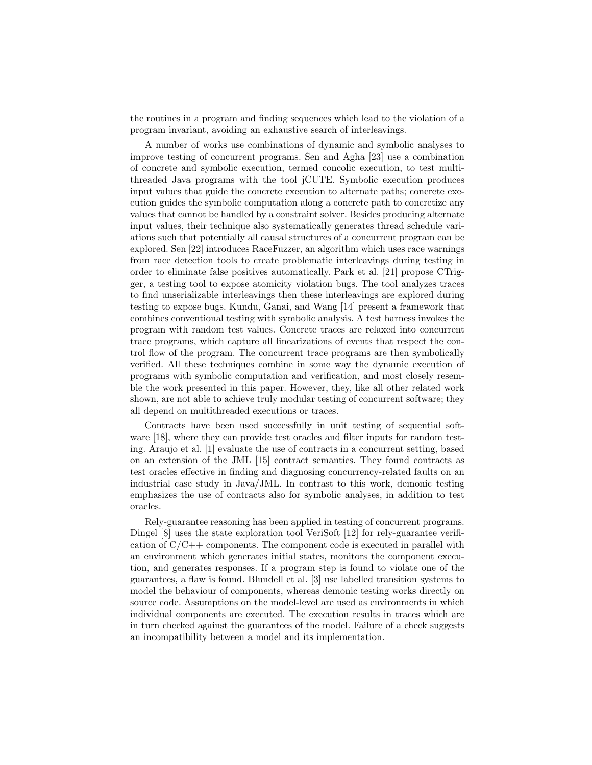the routines in a program and finding sequences which lead to the violation of a program invariant, avoiding an exhaustive search of interleavings.

A number of works use combinations of dynamic and symbolic analyses to improve testing of concurrent programs. Sen and Agha [23] use a combination of concrete and symbolic execution, termed concolic execution, to test multithreaded Java programs with the tool jCUTE. Symbolic execution produces input values that guide the concrete execution to alternate paths; concrete execution guides the symbolic computation along a concrete path to concretize any values that cannot be handled by a constraint solver. Besides producing alternate input values, their technique also systematically generates thread schedule variations such that potentially all causal structures of a concurrent program can be explored. Sen [22] introduces RaceFuzzer, an algorithm which uses race warnings from race detection tools to create problematic interleavings during testing in order to eliminate false positives automatically. Park et al. [21] propose CTrigger, a testing tool to expose atomicity violation bugs. The tool analyzes traces to find unserializable interleavings then these interleavings are explored during testing to expose bugs. Kundu, Ganai, and Wang [14] present a framework that combines conventional testing with symbolic analysis. A test harness invokes the program with random test values. Concrete traces are relaxed into concurrent trace programs, which capture all linearizations of events that respect the control flow of the program. The concurrent trace programs are then symbolically verified. All these techniques combine in some way the dynamic execution of programs with symbolic computation and verification, and most closely resemble the work presented in this paper. However, they, like all other related work shown, are not able to achieve truly modular testing of concurrent software; they all depend on multithreaded executions or traces.

Contracts have been used successfully in unit testing of sequential software [18], where they can provide test oracles and filter inputs for random testing. Araujo et al. [1] evaluate the use of contracts in a concurrent setting, based on an extension of the JML [15] contract semantics. They found contracts as test oracles effective in finding and diagnosing concurrency-related faults on an industrial case study in Java/JML. In contrast to this work, demonic testing emphasizes the use of contracts also for symbolic analyses, in addition to test oracles.

Rely-guarantee reasoning has been applied in testing of concurrent programs. Dingel [8] uses the state exploration tool VeriSoft [12] for rely-guarantee verification of  $C/C++$  components. The component code is executed in parallel with an environment which generates initial states, monitors the component execution, and generates responses. If a program step is found to violate one of the guarantees, a flaw is found. Blundell et al. [3] use labelled transition systems to model the behaviour of components, whereas demonic testing works directly on source code. Assumptions on the model-level are used as environments in which individual components are executed. The execution results in traces which are in turn checked against the guarantees of the model. Failure of a check suggests an incompatibility between a model and its implementation.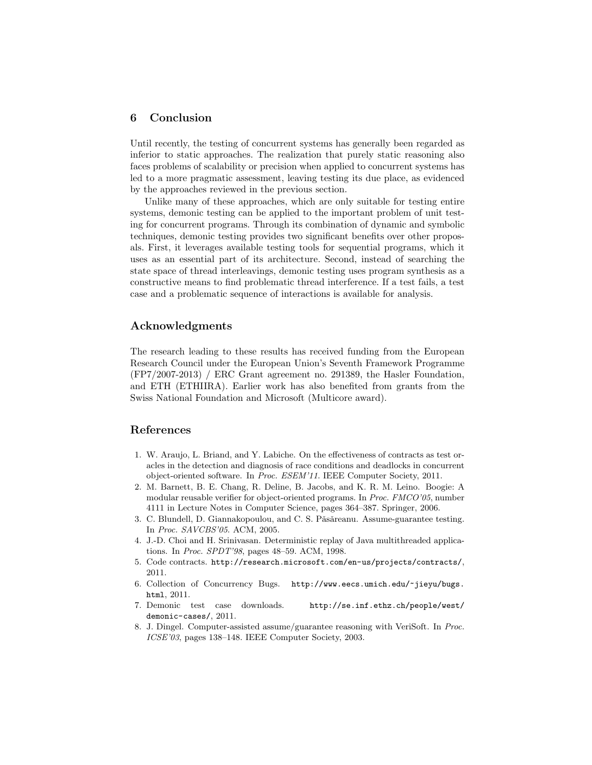# 6 Conclusion

Until recently, the testing of concurrent systems has generally been regarded as inferior to static approaches. The realization that purely static reasoning also faces problems of scalability or precision when applied to concurrent systems has led to a more pragmatic assessment, leaving testing its due place, as evidenced by the approaches reviewed in the previous section.

Unlike many of these approaches, which are only suitable for testing entire systems, demonic testing can be applied to the important problem of unit testing for concurrent programs. Through its combination of dynamic and symbolic techniques, demonic testing provides two significant benefits over other proposals. First, it leverages available testing tools for sequential programs, which it uses as an essential part of its architecture. Second, instead of searching the state space of thread interleavings, demonic testing uses program synthesis as a constructive means to find problematic thread interference. If a test fails, a test case and a problematic sequence of interactions is available for analysis.

### Acknowledgments

The research leading to these results has received funding from the European Research Council under the European Union's Seventh Framework Programme (FP7/2007-2013) / ERC Grant agreement no. 291389, the Hasler Foundation, and ETH (ETHIIRA). Earlier work has also benefited from grants from the Swiss National Foundation and Microsoft (Multicore award).

### References

- 1. W. Araujo, L. Briand, and Y. Labiche. On the effectiveness of contracts as test oracles in the detection and diagnosis of race conditions and deadlocks in concurrent object-oriented software. In Proc. ESEM'11. IEEE Computer Society, 2011.
- 2. M. Barnett, B. E. Chang, R. Deline, B. Jacobs, and K. R. M. Leino. Boogie: A modular reusable verifier for object-oriented programs. In Proc. FMCO'05, number 4111 in Lecture Notes in Computer Science, pages 364–387. Springer, 2006.
- 3. C. Blundell, D. Giannakopoulou, and C. S. Pǎsǎreanu. Assume-guarantee testing. In Proc. SAVCBS'05. ACM, 2005.
- 4. J.-D. Choi and H. Srinivasan. Deterministic replay of Java multithreaded applications. In Proc. SPDT'98, pages 48–59. ACM, 1998.
- 5. Code contracts. http://research.microsoft.com/en-us/projects/contracts/, 2011.
- 6. Collection of Concurrency Bugs. http://www.eecs.umich.edu/~jieyu/bugs. html, 2011.
- 7. Demonic test case downloads. http://se.inf.ethz.ch/people/west/ demonic-cases/, 2011.
- 8. J. Dingel. Computer-assisted assume/guarantee reasoning with VeriSoft. In Proc. ICSE'03, pages 138–148. IEEE Computer Society, 2003.